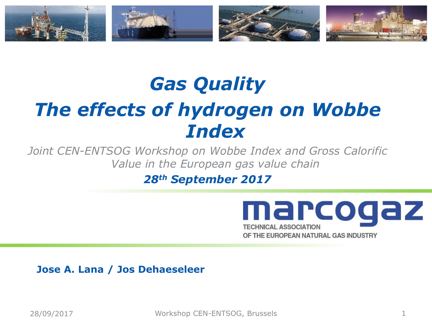

# *Gas Quality The effects of hydrogen on Wobbe Index*

*Joint CEN-ENTSOG Workshop on Wobbe Index and Gross Calorific Value in the European gas value chain*

*28th September 2017*



**Jose A. Lana / Jos Dehaeseleer**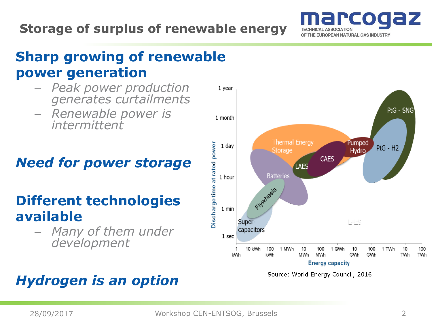### **Storage of surplus of renewable energy**



## **Sharp growing of renewable power generation**

- *Peak power production generates curtailments*
- *Renewable power is intermittent*

## *Need for power storage*

## **Different technologies available**

– *Many of them under development*

## *Hydrogen is an option*



Source: World Energy Council, 2016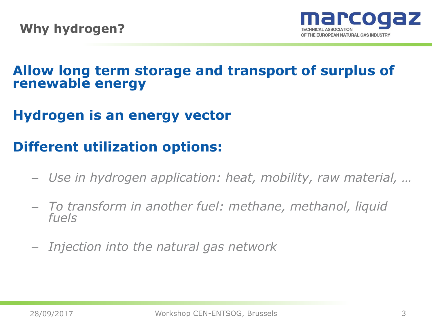

### **Allow long term storage and transport of surplus of renewable energy**

## **Hydrogen is an energy vector**

## **Different utilization options:**

- *Use in hydrogen application: heat, mobility, raw material, …*
- *To transform in another fuel: methane, methanol, liquid fuels*
- *Injection into the natural gas network*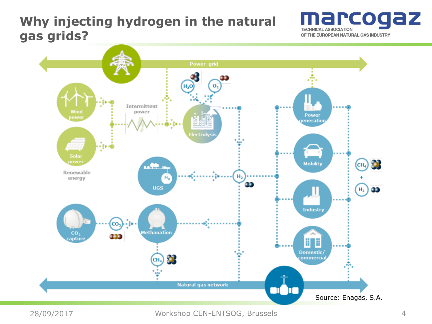#### **Why injecting hydrogen in the natural gas grids?**





28/09/2017 4 Workshop CEN-ENTSOG, Brussels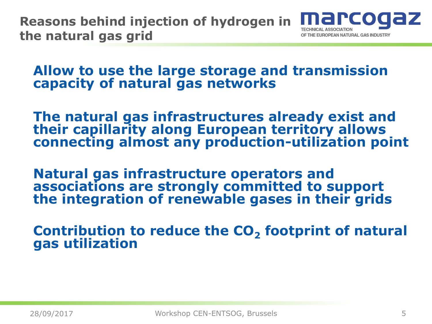**Reasons behind injection of hydrogen in the natural gas grid** THE EUROPEAN NATURAL GAS INDUSTR'

**Allow to use the large storage and transmission capacity of natural gas networks**

**The natural gas infrastructures already exist and their capillarity along European territory allows connecting almost any production-utilization point**

**Natural gas infrastructure operators and associations are strongly committed to support the integration of renewable gases in their grids**

**Contribution to reduce the CO<sup>2</sup> footprint of natural gas utilization**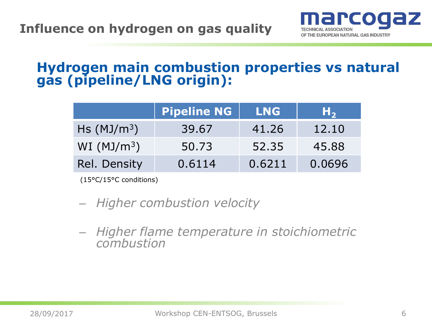

#### **Hydrogen main combustion properties vs natural gas (pipeline/LNG origin):**

|                     | <b>Pipeline NG</b> | <b>LNG</b> | Н,     |
|---------------------|--------------------|------------|--------|
| $\text{Hs (MJ/m3)}$ | 39.67              | 41.26      | 12.10  |
| WI ( $MJ/m^3$ )     | 50.73              | 52.35      | 45.88  |
| Rel. Density        | 0.6114             | 0.6211     | 0.0696 |

(15°C/15°C conditions)

- *Higher combustion velocity*
- *Higher flame temperature in stoichiometric combustion*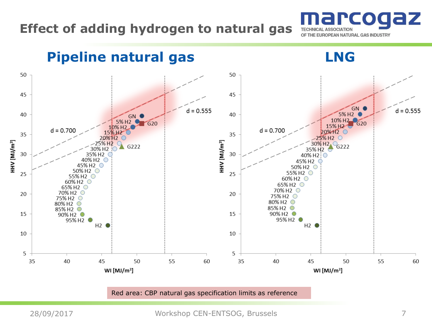### **Effect of adding hydrogen to natural gas**



**Pipeline natural gas LNG**50 50 45 45 GN (  $d = 0.555$  $d = 0.555$ 40 5% H<sub>2</sub> 40 GN O 10% H<sub>2</sub> 5% H<sub>2</sub> G20 G20 15% H<sub>2</sub>  $10\%$  H<sub>2</sub>  $d = 0.700$  $d = 0.700$ 20%H2 C 15% H<sub>2</sub> 35 35  $-25\%$  H<sub>2</sub>  $\degree$ 20%H2 C HHV [MJ/m<sup>3</sup>] HHV [MJ/m<sup>3</sup>] 30% H<sub>2</sub> G<sub>222</sub> 25% H<sub>2</sub> G222 30% H<sub>2</sub> 30 30 35% H2 40% H<sub>2</sub> O 45% H<sub>2</sub> C 45% H2 50% H<sub>2</sub> C 50% H2 25 25 55% H<sub>2</sub> ○ 55% H<sub>2</sub> 60% H<sub>2</sub> O 60% H<sub>2</sub> C 65% H<sub>2</sub> O 65% H2 C 70% H<sub>2</sub> C 20 70% H<sub>2</sub> O 20 75% H<sub>2</sub> O 75% H<sub>2</sub> O 80% H<sub>2</sub> O 80% H<sub>2</sub> O 85% H<sub>2</sub> O 85% H<sub>2</sub> C 90% H<sub>2</sub> O 15 15 90% H<sub>2</sub> O 95% H<sub>2</sub>  $\bullet$ 95% H<sub>2</sub>  $H2$   $\bullet$  $H2$   $\bullet$ 10 10 5 5 45 35 35 40 50 55 60 40 45 50 55 60 WI [ $MJ/m<sup>3</sup>$ ] WI [ $MJ/m<sup>3</sup>$ ]

Red area: CBP natural gas specification limits as reference

28/09/2017 7 Workshop CEN-ENTSOG, Brussels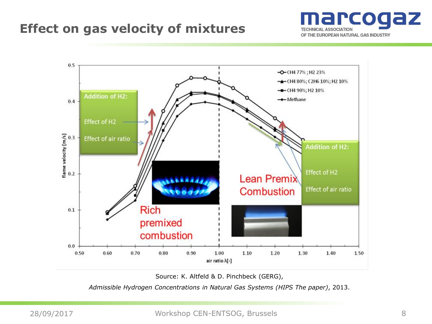#### **Effect on gas velocity of mixtures**





Source: K. Altfeld & D. Pinchbeck (GERG),

*Admissible Hydrogen Concentrations in Natural Gas Systems (HIPS The paper)*, 2013.

28/09/2017 8 Workshop CEN-ENTSOG, Brussels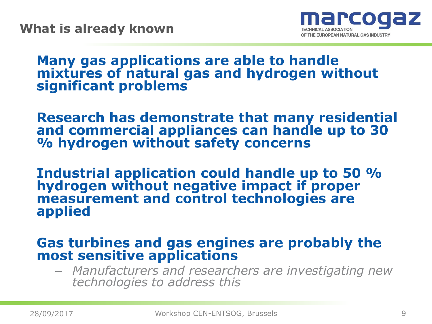

#### **Many gas applications are able to handle mixtures of natural gas and hydrogen without significant problems**

**Research has demonstrate that many residential and commercial appliances can handle up to 30 % hydrogen without safety concerns**

**Industrial application could handle up to 50 % hydrogen without negative impact if proper measurement and control technologies are applied**

#### **Gas turbines and gas engines are probably the most sensitive applications**

– *Manufacturers and researchers are investigating new technologies to address this*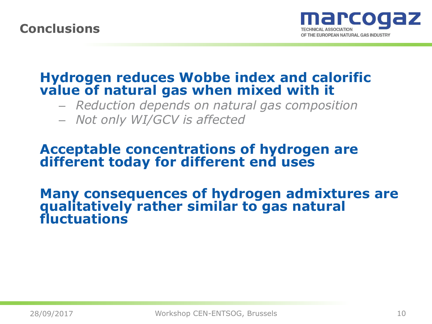#### **Conclusions**



#### **Hydrogen reduces Wobbe index and calorific value of natural gas when mixed with it**

– *Reduction depends on natural gas composition*

– *Not only WI/GCV is affected*

#### **Acceptable concentrations of hydrogen are different today for different end uses**

#### **Many consequences of hydrogen admixtures are qualitatively rather similar to gas natural fluctuations**